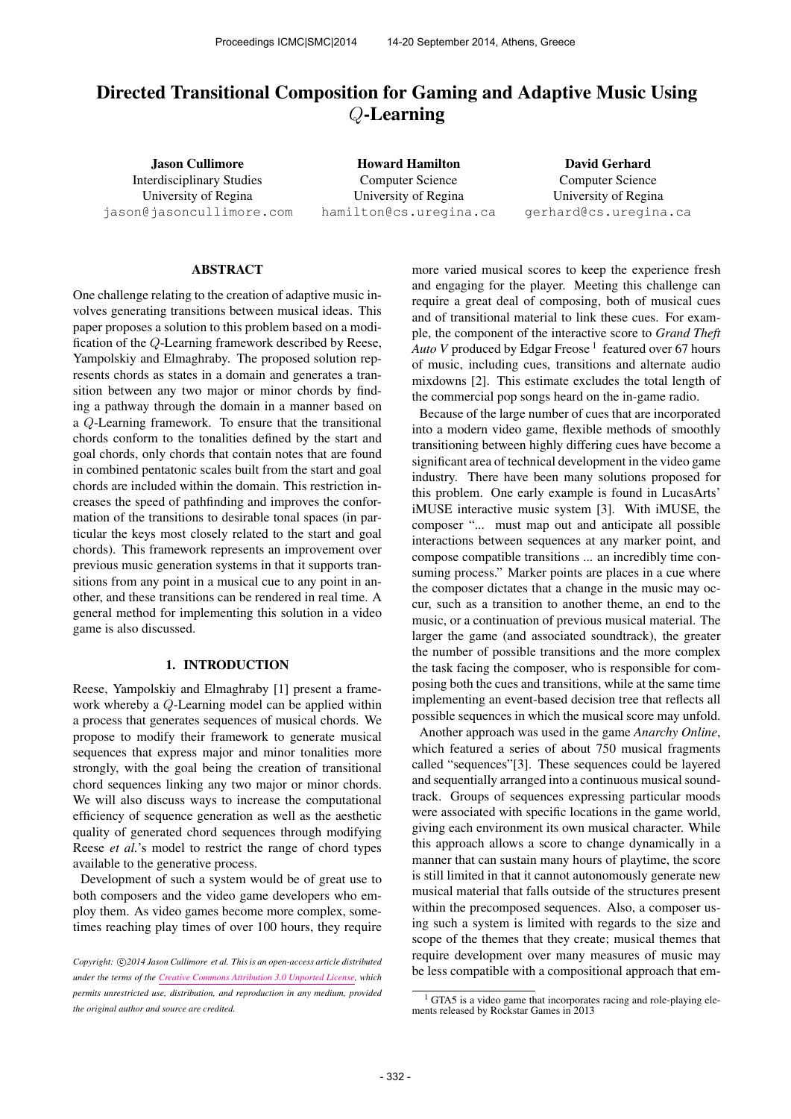# Directed Transitional Composition for Gaming and Adaptive Music Using Q-Learning

Jason Cullimore Interdisciplinary Studies University of Regina [jason@jasoncullimore.com](mailto:jason@jasoncullimore.com)

Howard Hamilton Computer Science University of Regina [hamilton@cs.uregina.ca](mailto:hamilton@cs.uregina.ca)

David Gerhard Computer Science University of Regina [gerhard@cs.uregina.ca](mailto:gerhard@cs.uregina.ca)

## ABSTRACT

One challenge relating to the creation of adaptive music involves generating transitions between musical ideas. This paper proposes a solution to this problem based on a modification of the Q-Learning framework described by Reese, Yampolskiy and Elmaghraby. The proposed solution represents chords as states in a domain and generates a transition between any two major or minor chords by finding a pathway through the domain in a manner based on a Q-Learning framework. To ensure that the transitional chords conform to the tonalities defined by the start and goal chords, only chords that contain notes that are found in combined pentatonic scales built from the start and goal chords are included within the domain. This restriction increases the speed of pathfinding and improves the conformation of the transitions to desirable tonal spaces (in particular the keys most closely related to the start and goal chords). This framework represents an improvement over previous music generation systems in that it supports transitions from any point in a musical cue to any point in another, and these transitions can be rendered in real time. A general method for implementing this solution in a video game is also discussed.

## 1. INTRODUCTION

Reese, Yampolskiy and Elmaghraby [1] present a framework whereby a Q-Learning model can be applied within a process that generates sequences of musical chords. We propose to modify their framework to generate musical sequences that express major and minor tonalities more strongly, with the goal being the creation of transitional chord sequences linking any two major or minor chords. We will also discuss ways to increase the computational efficiency of sequence generation as well as the aesthetic quality of generated chord sequences through modifying Reese *et al.*'s model to restrict the range of chord types available to the generative process.

Development of such a system would be of great use to both composers and the video game developers who employ them. As video games become more complex, sometimes reaching play times of over 100 hours, they require more varied musical scores to keep the experience fresh and engaging for the player. Meeting this challenge can require a great deal of composing, both of musical cues and of transitional material to link these cues. For example, the component of the interactive score to *Grand Theft* Auto V produced by Edgar Freose <sup>1</sup> featured over 67 hours of music, including cues, transitions and alternate audio mixdowns [2]. This estimate excludes the total length of the commercial pop songs heard on the in-game radio.

Because of the large number of cues that are incorporated into a modern video game, flexible methods of smoothly transitioning between highly differing cues have become a significant area of technical development in the video game industry. There have been many solutions proposed for this problem. One early example is found in LucasArts' iMUSE interactive music system [3]. With iMUSE, the composer "... must map out and anticipate all possible interactions between sequences at any marker point, and compose compatible transitions ... an incredibly time consuming process." Marker points are places in a cue where the composer dictates that a change in the music may occur, such as a transition to another theme, an end to the music, or a continuation of previous musical material. The larger the game (and associated soundtrack), the greater the number of possible transitions and the more complex the task facing the composer, who is responsible for composing both the cues and transitions, while at the same time implementing an event-based decision tree that reflects all possible sequences in which the musical score may unfold.

Another approach was used in the game *Anarchy Online*, which featured a series of about 750 musical fragments called "sequences"[3]. These sequences could be layered and sequentially arranged into a continuous musical soundtrack. Groups of sequences expressing particular moods were associated with specific locations in the game world, giving each environment its own musical character. While this approach allows a score to change dynamically in a manner that can sustain many hours of playtime, the score is still limited in that it cannot autonomously generate new musical material that falls outside of the structures present within the precomposed sequences. Also, a composer using such a system is limited with regards to the size and scope of the themes that they create; musical themes that require development over many measures of music may be less compatible with a compositional approach that em-

Copyright:  $\bigcirc$ 2014 Jason Cullimore et al. This is an open-access article distributed *under the terms of the [Creative Commons Attribution 3.0 Unported License,](http://creativecommons.org/licenses/by/3.0/) which permits unrestricted use, distribution, and reproduction in any medium, provided the original author and source are credited.*

 $1$  GTA5 is a video game that incorporates racing and role-playing elements released by Rockstar Games in 2013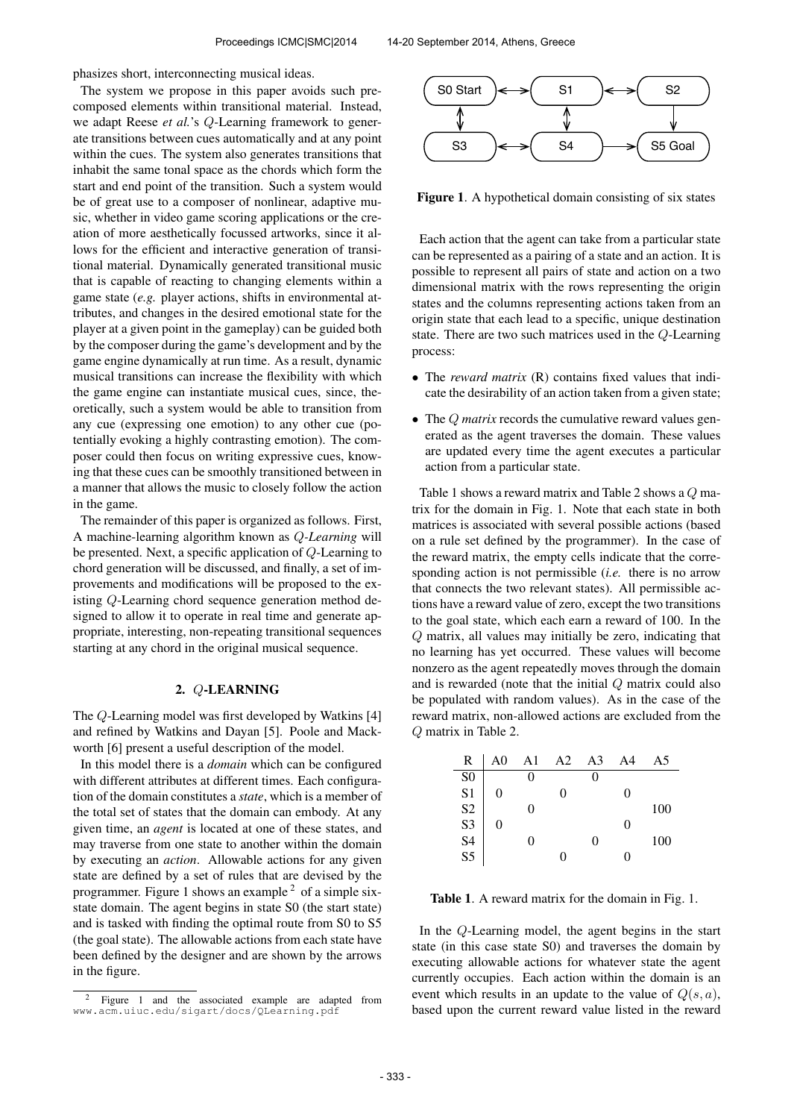phasizes short, interconnecting musical ideas.

The system we propose in this paper avoids such precomposed elements within transitional material. Instead, we adapt Reese *et al.*'s Q-Learning framework to generate transitions between cues automatically and at any point within the cues. The system also generates transitions that inhabit the same tonal space as the chords which form the start and end point of the transition. Such a system would be of great use to a composer of nonlinear, adaptive music, whether in video game scoring applications or the creation of more aesthetically focussed artworks, since it allows for the efficient and interactive generation of transitional material. Dynamically generated transitional music that is capable of reacting to changing elements within a game state (*e.g.* player actions, shifts in environmental attributes, and changes in the desired emotional state for the player at a given point in the gameplay) can be guided both by the composer during the game's development and by the game engine dynamically at run time. As a result, dynamic musical transitions can increase the flexibility with which the game engine can instantiate musical cues, since, theoretically, such a system would be able to transition from any cue (expressing one emotion) to any other cue (potentially evoking a highly contrasting emotion). The composer could then focus on writing expressive cues, knowing that these cues can be smoothly transitioned between in a manner that allows the music to closely follow the action in the game.

The remainder of this paper is organized as follows. First, A machine-learning algorithm known as Q*-Learning* will be presented. Next, a specific application of Q-Learning to chord generation will be discussed, and finally, a set of improvements and modifications will be proposed to the existing Q-Learning chord sequence generation method designed to allow it to operate in real time and generate appropriate, interesting, non-repeating transitional sequences starting at any chord in the original musical sequence.

### 2. Q-LEARNING

The Q-Learning model was first developed by Watkins [4] and refined by Watkins and Dayan [5]. Poole and Mackworth [6] present a useful description of the model.

In this model there is a *domain* which can be configured with different attributes at different times. Each configuration of the domain constitutes a *state*, which is a member of the total set of states that the domain can embody. At any given time, an *agent* is located at one of these states, and may traverse from one state to another within the domain by executing an *action*. Allowable actions for any given state are defined by a set of rules that are devised by the programmer. Figure 1 shows an example  $2$  of a simple sixstate domain. The agent begins in state S0 (the start state) and is tasked with finding the optimal route from S0 to S5 (the goal state). The allowable actions from each state have been defined by the designer and are shown by the arrows in the figure.



Figure 1. A hypothetical domain consisting of six states

Each action that the agent can take from a particular state can be represented as a pairing of a state and an action. It is possible to represent all pairs of state and action on a two dimensional matrix with the rows representing the origin states and the columns representing actions taken from an origin state that each lead to a specific, unique destination state. There are two such matrices used in the Q-Learning process:

- The *reward matrix* (R) contains fixed values that indicate the desirability of an action taken from a given state;
- The *Q matrix* records the cumulative reward values generated as the agent traverses the domain. These values are updated every time the agent executes a particular action from a particular state.

Table 1 shows a reward matrix and Table 2 shows a Q matrix for the domain in Fig. 1. Note that each state in both matrices is associated with several possible actions (based on a rule set defined by the programmer). In the case of the reward matrix, the empty cells indicate that the corresponding action is not permissible (*i.e.* there is no arrow that connects the two relevant states). All permissible actions have a reward value of zero, except the two transitions to the goal state, which each earn a reward of 100. In the Q matrix, all values may initially be zero, indicating that no learning has yet occurred. These values will become nonzero as the agent repeatedly moves through the domain and is rewarded (note that the initial  $Q$  matrix could also be populated with random values). As in the case of the reward matrix, non-allowed actions are excluded from the Q matrix in Table 2.

| R                                      | A <sub>0</sub> | A <sub>1</sub> | A2 | A <sub>3</sub> | A4 | A5  |
|----------------------------------------|----------------|----------------|----|----------------|----|-----|
|                                        |                | 0              |    |                |    |     |
|                                        | 0              |                | 0  |                |    |     |
| SO<br>S1<br>S2<br>S3<br>S3<br>S4<br>S5 |                | 0              |    |                |    | 100 |
|                                        | 0              |                |    |                | 0  |     |
|                                        |                | 0              |    |                |    | 100 |
|                                        |                |                | 0  |                |    |     |

Table 1. A reward matrix for the domain in Fig. 1.

In the Q-Learning model, the agent begins in the start state (in this case state S0) and traverses the domain by executing allowable actions for whatever state the agent currently occupies. Each action within the domain is an event which results in an update to the value of  $Q(s, a)$ , based upon the current reward value listed in the reward

<sup>2</sup> Figure 1 and the associated example are adapted from [www.acm.uiuc.edu/sigart/docs/QLearning.pdf](http://www.acm.uiuc.edu/sigart/docs/QLearning.pdf)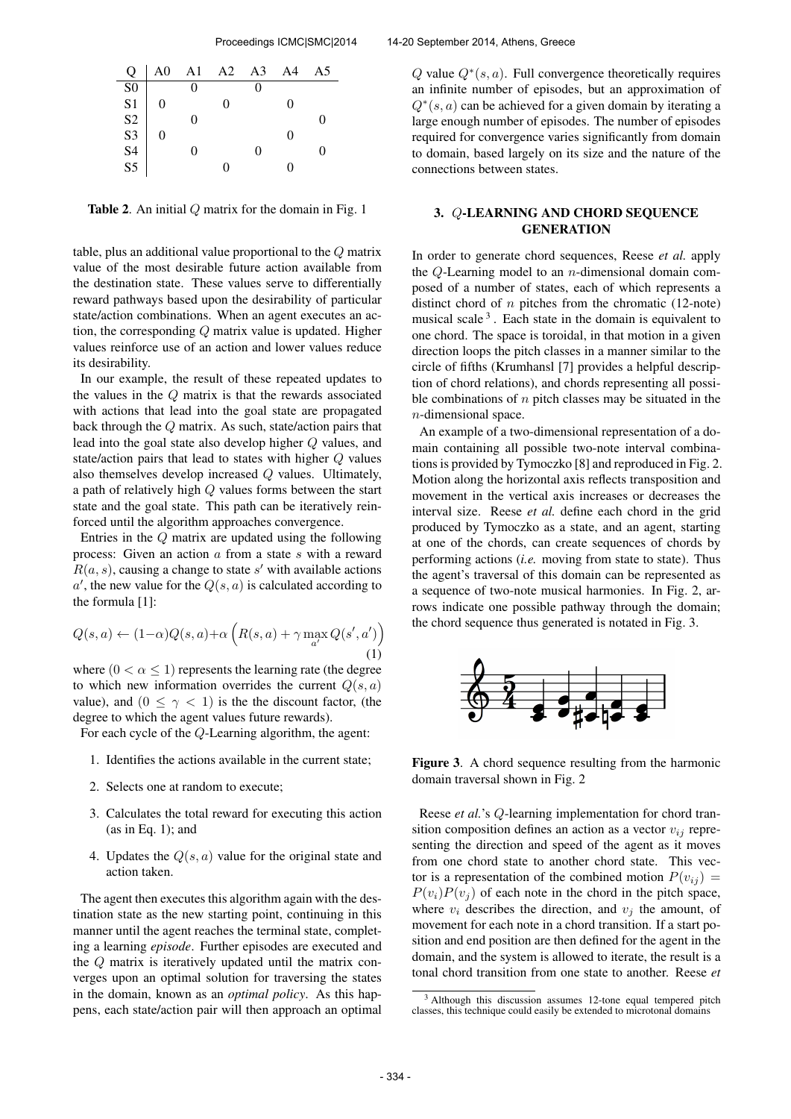

**Table 2.** An initial  $Q$  matrix for the domain in Fig. 1

table, plus an additional value proportional to the Q matrix value of the most desirable future action available from the destination state. These values serve to differentially reward pathways based upon the desirability of particular state/action combinations. When an agent executes an action, the corresponding Q matrix value is updated. Higher values reinforce use of an action and lower values reduce its desirability.

In our example, the result of these repeated updates to the values in the Q matrix is that the rewards associated with actions that lead into the goal state are propagated back through the Q matrix. As such, state/action pairs that lead into the goal state also develop higher Q values, and state/action pairs that lead to states with higher Q values also themselves develop increased Q values. Ultimately, a path of relatively high Q values forms between the start state and the goal state. This path can be iteratively reinforced until the algorithm approaches convergence.

Entries in the Q matrix are updated using the following process: Given an action a from a state s with a reward  $R(a, s)$ , causing a change to state s' with available actions  $a'$ , the new value for the  $Q(s, a)$  is calculated according to the formula [1]:

$$
Q(s, a) \leftarrow (1-\alpha)Q(s, a) + \alpha \left( R(s, a) + \gamma \max_{a'} Q(s', a') \right)
$$
\n(1)

where  $(0 < \alpha \leq 1)$  represents the learning rate (the degree to which new information overrides the current  $Q(s, a)$ value), and  $(0 \le \gamma < 1)$  is the the discount factor, (the degree to which the agent values future rewards).

For each cycle of the Q-Learning algorithm, the agent:

- 1. Identifies the actions available in the current state;
- 2. Selects one at random to execute;
- 3. Calculates the total reward for executing this action  $(as in Eq. 1); and$
- 4. Updates the  $Q(s, a)$  value for the original state and action taken.

The agent then executes this algorithm again with the destination state as the new starting point, continuing in this manner until the agent reaches the terminal state, completing a learning *episode*. Further episodes are executed and the Q matrix is iteratively updated until the matrix converges upon an optimal solution for traversing the states in the domain, known as an *optimal policy*. As this happens, each state/action pair will then approach an optimal

Q value  $Q^*(s, a)$ . Full convergence theoretically requires an infinite number of episodes, but an approximation of  $Q<sup>*</sup>(s, a)$  can be achieved for a given domain by iterating a large enough number of episodes. The number of episodes required for convergence varies significantly from domain to domain, based largely on its size and the nature of the connections between states.

# 3. Q-LEARNING AND CHORD SEQUENCE **GENERATION**

In order to generate chord sequences, Reese *et al.* apply the Q-Learning model to an  $n$ -dimensional domain composed of a number of states, each of which represents a distinct chord of  $n$  pitches from the chromatic (12-note) musical scale  $3$ . Each state in the domain is equivalent to one chord. The space is toroidal, in that motion in a given direction loops the pitch classes in a manner similar to the circle of fifths (Krumhansl [7] provides a helpful description of chord relations), and chords representing all possible combinations of  $n$  pitch classes may be situated in the n-dimensional space.

An example of a two-dimensional representation of a domain containing all possible two-note interval combinations is provided by Tymoczko [8] and reproduced in Fig. 2. Motion along the horizontal axis reflects transposition and movement in the vertical axis increases or decreases the interval size. Reese *et al.* define each chord in the grid produced by Tymoczko as a state, and an agent, starting at one of the chords, can create sequences of chords by performing actions (*i.e.* moving from state to state). Thus the agent's traversal of this domain can be represented as a sequence of two-note musical harmonies. In Fig. 2, arrows indicate one possible pathway through the domain; the chord sequence thus generated is notated in Fig. 3.



Figure 3. A chord sequence resulting from the harmonic domain traversal shown in Fig. 2

Reese *et al.*'s Q-learning implementation for chord transition composition defines an action as a vector  $v_{ij}$  representing the direction and speed of the agent as it moves from one chord state to another chord state. This vector is a representation of the combined motion  $P(v_{ij}) =$  $P(v_i)P(v_j)$  of each note in the chord in the pitch space, where  $v_i$  describes the direction, and  $v_i$  the amount, of movement for each note in a chord transition. If a start position and end position are then defined for the agent in the domain, and the system is allowed to iterate, the result is a tonal chord transition from one state to another. Reese *et*

<sup>&</sup>lt;sup>3</sup> Although this discussion assumes 12-tone equal tempered pitch classes, this technique could easily be extended to microtonal domains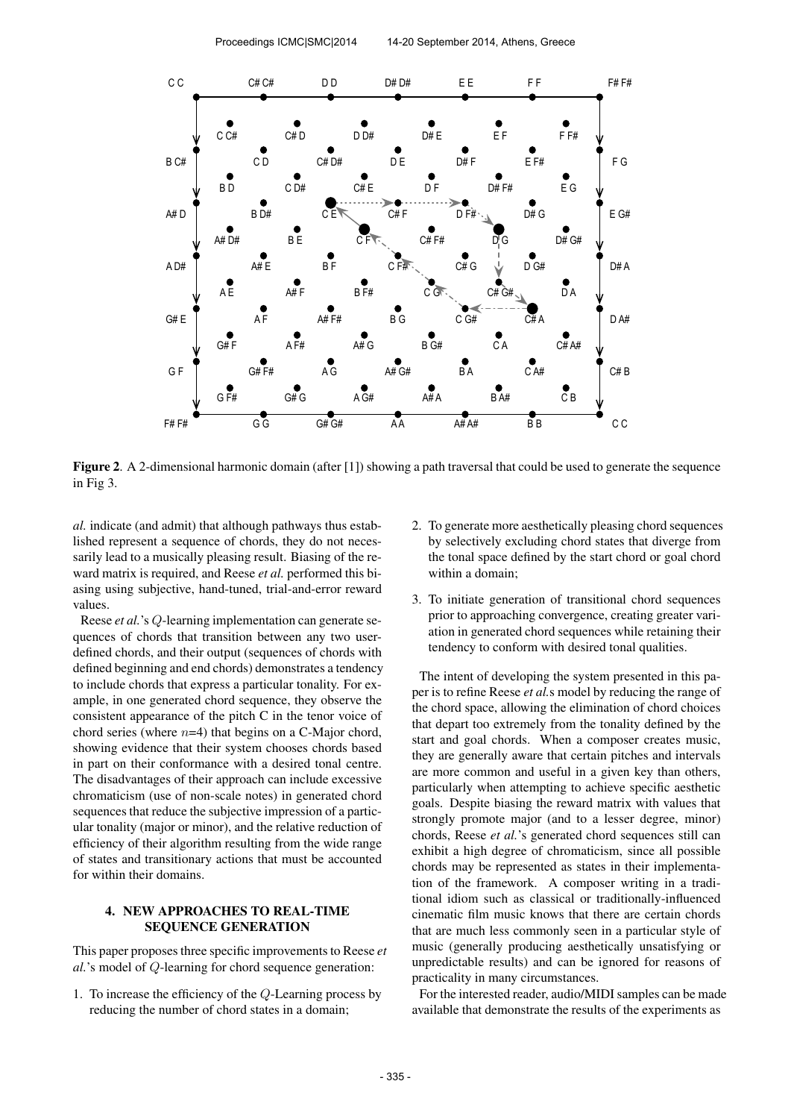

Figure 2. A 2-dimensional harmonic domain (after [1]) showing a path traversal that could be used to generate the sequence in Fig 3.

*al.* indicate (and admit) that although pathways thus established represent a sequence of chords, they do not necessarily lead to a musically pleasing result. Biasing of the reward matrix is required, and Reese *et al.* performed this biasing using subjective, hand-tuned, trial-and-error reward values.

Reese *et al.*'s Q-learning implementation can generate sequences of chords that transition between any two userdefined chords, and their output (sequences of chords with defined beginning and end chords) demonstrates a tendency to include chords that express a particular tonality. For example, in one generated chord sequence, they observe the consistent appearance of the pitch C in the tenor voice of chord series (where  $n=4$ ) that begins on a C-Major chord, showing evidence that their system chooses chords based in part on their conformance with a desired tonal centre. The disadvantages of their approach can include excessive chromaticism (use of non-scale notes) in generated chord sequences that reduce the subjective impression of a particular tonality (major or minor), and the relative reduction of efficiency of their algorithm resulting from the wide range of states and transitionary actions that must be accounted for within their domains.

## 4. NEW APPROACHES TO REAL-TIME SEQUENCE GENERATION

This paper proposes three specific improvements to Reese *et al.*'s model of Q-learning for chord sequence generation:

1. To increase the efficiency of the Q-Learning process by reducing the number of chord states in a domain;

- 2. To generate more aesthetically pleasing chord sequences by selectively excluding chord states that diverge from the tonal space defined by the start chord or goal chord within a domain;
- 3. To initiate generation of transitional chord sequences prior to approaching convergence, creating greater variation in generated chord sequences while retaining their tendency to conform with desired tonal qualities.

The intent of developing the system presented in this paper is to refine Reese *et al.*s model by reducing the range of the chord space, allowing the elimination of chord choices that depart too extremely from the tonality defined by the start and goal chords. When a composer creates music, they are generally aware that certain pitches and intervals are more common and useful in a given key than others, particularly when attempting to achieve specific aesthetic goals. Despite biasing the reward matrix with values that strongly promote major (and to a lesser degree, minor) chords, Reese *et al.*'s generated chord sequences still can exhibit a high degree of chromaticism, since all possible chords may be represented as states in their implementation of the framework. A composer writing in a traditional idiom such as classical or traditionally-influenced cinematic film music knows that there are certain chords that are much less commonly seen in a particular style of music (generally producing aesthetically unsatisfying or unpredictable results) and can be ignored for reasons of practicality in many circumstances.

For the interested reader, audio/MIDI samples can be made available that demonstrate the results of the experiments as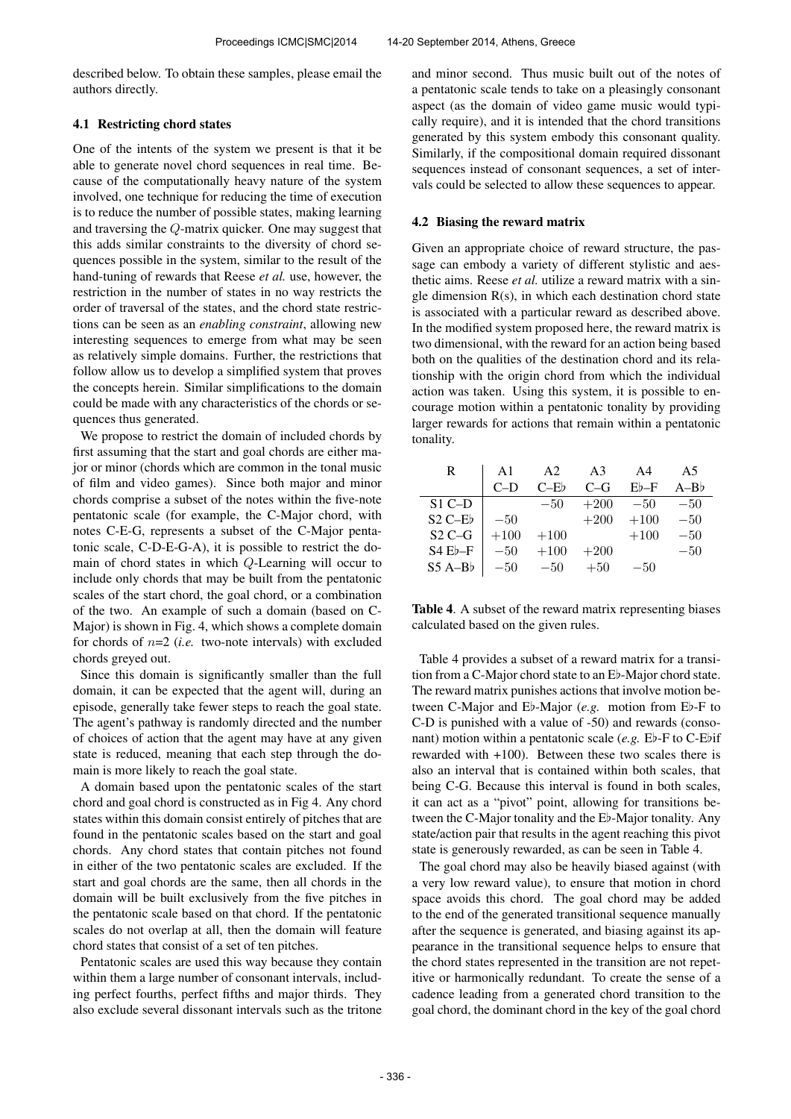described below. To obtain these samples, please email the authors directly.

#### 4.1 Restricting chord states

One of the intents of the system we present is that it be able to generate novel chord sequences in real time. Because of the computationally heavy nature of the system involved, one technique for reducing the time of execution is to reduce the number of possible states, making learning and traversing the Q-matrix quicker. One may suggest that this adds similar constraints to the diversity of chord sequences possible in the system, similar to the result of the hand-tuning of rewards that Reese *et al.* use, however, the restriction in the number of states in no way restricts the order of traversal of the states, and the chord state restrictions can be seen as an *enabling constraint*, allowing new interesting sequences to emerge from what may be seen as relatively simple domains. Further, the restrictions that follow allow us to develop a simplified system that proves the concepts herein. Similar simplifications to the domain could be made with any characteristics of the chords or sequences thus generated.

We propose to restrict the domain of included chords by first assuming that the start and goal chords are either major or minor (chords which are common in the tonal music of film and video games). Since both major and minor chords comprise a subset of the notes within the five-note pentatonic scale (for example, the C-Major chord, with notes C-E-G, represents a subset of the C-Major pentatonic scale, C-D-E-G-A), it is possible to restrict the domain of chord states in which Q-Learning will occur to include only chords that may be built from the pentatonic scales of the start chord, the goal chord, or a combination of the two. An example of such a domain (based on C-Major) is shown in Fig. 4, which shows a complete domain for chords of  $n=2$  (*i.e.* two-note intervals) with excluded chords greyed out.

Since this domain is significantly smaller than the full domain, it can be expected that the agent will, during an episode, generally take fewer steps to reach the goal state. The agent's pathway is randomly directed and the number of choices of action that the agent may have at any given state is reduced, meaning that each step through the domain is more likely to reach the goal state.

A domain based upon the pentatonic scales of the start chord and goal chord is constructed as in Fig 4. Any chord states within this domain consist entirely of pitches that are found in the pentatonic scales based on the start and goal chords. Any chord states that contain pitches not found in either of the two pentatonic scales are excluded. If the start and goal chords are the same, then all chords in the domain will be built exclusively from the five pitches in the pentatonic scale based on that chord. If the pentatonic scales do not overlap at all, then the domain will feature chord states that consist of a set of ten pitches.

Pentatonic scales are used this way because they contain within them a large number of consonant intervals, including perfect fourths, perfect fifths and major thirds. They also exclude several dissonant intervals such as the tritone and minor second. Thus music built out of the notes of a pentatonic scale tends to take on a pleasingly consonant aspect (as the domain of video game music would typically require), and it is intended that the chord transitions generated by this system embody this consonant quality. Similarly, if the compositional domain required dissonant sequences instead of consonant sequences, a set of intervals could be selected to allow these sequences to appear.

#### 4.2 Biasing the reward matrix

Given an appropriate choice of reward structure, the passage can embody a variety of different stylistic and aesthetic aims. Reese *et al.* utilize a reward matrix with a single dimension  $R(s)$ , in which each destination chord state is associated with a particular reward as described above. In the modified system proposed here, the reward matrix is two dimensional, with the reward for an action being based both on the qualities of the destination chord and its relationship with the origin chord from which the individual action was taken. Using this system, it is possible to encourage motion within a pentatonic tonality by providing larger rewards for actions that remain within a pentatonic tonality.

| R         | A <sub>1</sub> | A2     | A <sub>3</sub> | A4     | A5     |
|-----------|----------------|--------|----------------|--------|--------|
|           | $C-D$          | $C-Fb$ | $C-G$          | $Eb-F$ | $A-Bb$ |
| $S1$ C-D  |                | $-50$  | $+200$         | $-50$  | $-50$  |
| $S2$ C-Eb | $-50$          |        | $+200$         | $+100$ | $-50$  |
| $S2C-G$   | $+100$         | $+100$ |                | $+100$ | $-50$  |
| $S4E$ -F  | $-50$          | $+100$ | $+200$         |        | $-50$  |
| $S5A-Bb$  | $-50$          | $-50$  | $+50$          | $-50$  |        |

Table 4. A subset of the reward matrix representing biases calculated based on the given rules.

Table 4 provides a subset of a reward matrix for a transition from a C-Major chord state to an E♭-Major chord state. The reward matrix punishes actions that involve motion between C-Major and E♭-Major (*e.g.* motion from E♭-F to C-D is punished with a value of -50) and rewards (consonant) motion within a pentatonic scale (*e.g.* E♭-F to C-E♭if rewarded with +100). Between these two scales there is also an interval that is contained within both scales, that being C-G. Because this interval is found in both scales, it can act as a "pivot" point, allowing for transitions between the C-Major tonality and the E♭-Major tonality. Any state/action pair that results in the agent reaching this pivot state is generously rewarded, as can be seen in Table 4.

The goal chord may also be heavily biased against (with a very low reward value), to ensure that motion in chord space avoids this chord. The goal chord may be added to the end of the generated transitional sequence manually after the sequence is generated, and biasing against its appearance in the transitional sequence helps to ensure that the chord states represented in the transition are not repetitive or harmonically redundant. To create the sense of a cadence leading from a generated chord transition to the goal chord, the dominant chord in the key of the goal chord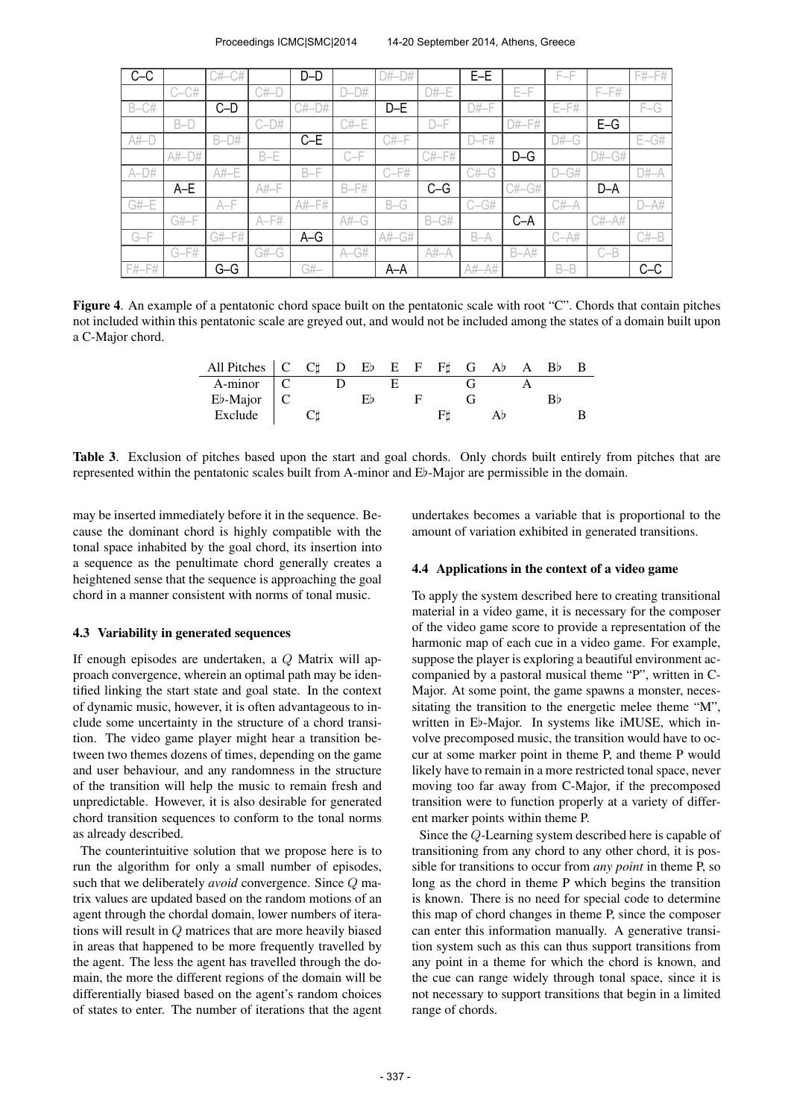| $C-C$       |          | $C#_{-1}$<br>C# |          | $D-D$    |         | D#      |          | $E-E$    |          | F-F      |          | $F# - F#$ |
|-------------|----------|-----------------|----------|----------|---------|---------|----------|----------|----------|----------|----------|-----------|
|             | $C-CH$   |                 | C#       |          | $D-D#$  |         | $D#$ -E  |          | $E-F$    |          | $F-F#$   |           |
| $B-CH$      |          | C-D             |          | $C#$ -D# |         | $D-E$   |          | $D#$ -F  |          | $E-F#$   |          | $F-G$     |
|             | $B-D$    |                 | $C-D#$   |          | $C#$ -E |         | $D-F$    |          | $D#$ -F# |          | $E-G$    |           |
| $A#$ - $E$  |          | $B-D#$          |          | $C-E$    |         | $C#$ -F |          | $D-F#$   |          | $D#$ -G  |          | $E-GH$    |
|             | $A#$ -D# |                 | $B - E$  |          | $C-F$   |         | $C#$ -F# |          | $D-G$    |          | $D#$ -G# |           |
| $A-D#$      |          | A#-E            |          | $B-F$    |         | $C-F#$  |          | $C#$ -G  |          | $D-GH$   |          | D#–A      |
|             | $A-E$    |                 | $A# - F$ |          | $B-F#$  |         | $C-G$    |          | $C#$ -G# |          | D-A      |           |
| $G#$ -E     |          | $A-F$           |          | A#-F#    |         | $B-G$   |          | $C - G#$ |          | C#–A     |          | $D-A#$    |
|             | G#-F     |                 | $A-F#$   |          | $A#$ -G |         | $B-GH$   |          | $C-A$    |          | C#-A#    |           |
| $G-F$       |          | G#-F#           |          | $A-G$    |         | A#-G#   |          | $B-A$    |          | $C - A#$ |          | $C#$ -B   |
|             | $G-F#$   |                 | $G#$ -G  |          | $A-GH$  |         | $A#-A$   |          | $B-A#$   |          | $C-B$    |           |
| $F#$ - $F#$ |          | $G-G$           |          | G#–      |         | $A-A$   |          | A#-A#    |          | $B - B$  |          | $C-C$     |

Figure 4. An example of a pentatonic chord space built on the pentatonic scale with root "C". Chords that contain pitches not included within this pentatonic scale are greyed out, and would not be included among the states of a domain built upon a C-Major chord.

| All Pitches $\begin{bmatrix} C & C \end{bmatrix}$ D Eb E F F G Ab A |  |  |  |  |  | - Bb |  |
|---------------------------------------------------------------------|--|--|--|--|--|------|--|
| A-minor                                                             |  |  |  |  |  |      |  |
| $E\flat$ -Major $\mid$ C                                            |  |  |  |  |  |      |  |
| Exclude                                                             |  |  |  |  |  |      |  |

Table 3. Exclusion of pitches based upon the start and goal chords. Only chords built entirely from pitches that are represented within the pentatonic scales built from A-minor and E♭-Major are permissible in the domain.

may be inserted immediately before it in the sequence. Because the dominant chord is highly compatible with the tonal space inhabited by the goal chord, its insertion into a sequence as the penultimate chord generally creates a heightened sense that the sequence is approaching the goal chord in a manner consistent with norms of tonal music.

#### 4.3 Variability in generated sequences

If enough episodes are undertaken, a Q Matrix will approach convergence, wherein an optimal path may be identified linking the start state and goal state. In the context of dynamic music, however, it is often advantageous to include some uncertainty in the structure of a chord transition. The video game player might hear a transition between two themes dozens of times, depending on the game and user behaviour, and any randomness in the structure of the transition will help the music to remain fresh and unpredictable. However, it is also desirable for generated chord transition sequences to conform to the tonal norms as already described.

The counterintuitive solution that we propose here is to run the algorithm for only a small number of episodes, such that we deliberately *avoid* convergence. Since Q matrix values are updated based on the random motions of an agent through the chordal domain, lower numbers of iterations will result in Q matrices that are more heavily biased in areas that happened to be more frequently travelled by the agent. The less the agent has travelled through the domain, the more the different regions of the domain will be differentially biased based on the agent's random choices of states to enter. The number of iterations that the agent undertakes becomes a variable that is proportional to the amount of variation exhibited in generated transitions.

#### 4.4 Applications in the context of a video game

To apply the system described here to creating transitional material in a video game, it is necessary for the composer of the video game score to provide a representation of the harmonic map of each cue in a video game. For example, suppose the player is exploring a beautiful environment accompanied by a pastoral musical theme "P", written in C-Major. At some point, the game spawns a monster, necessitating the transition to the energetic melee theme "M", written in E♭-Major. In systems like iMUSE, which involve precomposed music, the transition would have to occur at some marker point in theme P, and theme P would likely have to remain in a more restricted tonal space, never moving too far away from C-Major, if the precomposed transition were to function properly at a variety of different marker points within theme P.

Since the Q-Learning system described here is capable of transitioning from any chord to any other chord, it is possible for transitions to occur from *any point* in theme P, so long as the chord in theme P which begins the transition is known. There is no need for special code to determine this map of chord changes in theme P, since the composer can enter this information manually. A generative transition system such as this can thus support transitions from any point in a theme for which the chord is known, and the cue can range widely through tonal space, since it is not necessary to support transitions that begin in a limited range of chords.